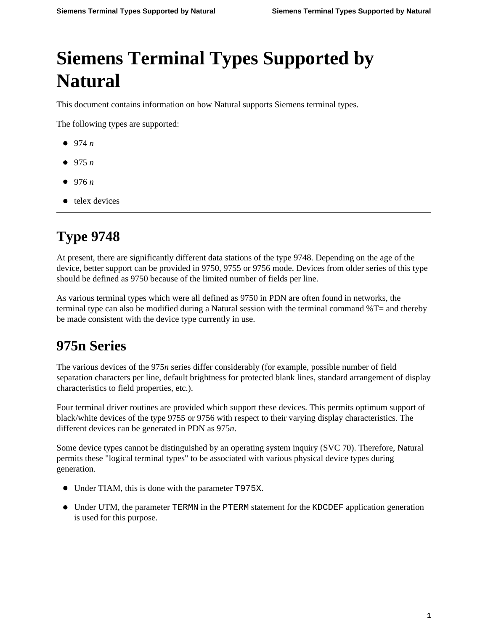## **Siemens Terminal Types Supported by Natural**

This document contains information on how Natural supports Siemens terminal types.

The following types are supported:

- [974](#page-0-0) *n*
- $975 n$  $975 n$
- [976](#page-0-2) *n*
- telex devices

## <span id="page-0-0"></span>**Type 9748**

At present, there are significantly different data stations of the type 9748. Depending on the age of the device, better support can be provided in 9750, 9755 or 9756 mode. Devices from older series of this type should be defined as 9750 because of the limited number of fields per line.

As various terminal types which were all defined as 9750 in PDN are often found in networks, the terminal type can also be modified during a Natural session with the terminal command %T= and thereby be made consistent with the device type currently in use.

## <span id="page-0-1"></span>**975n Series**

The various devices of the 975*n* series differ considerably (for example, possible number of field separation characters per line, default brightness for protected blank lines, standard arrangement of display characteristics to field properties, etc.).

Four terminal driver routines are provided which support these devices. This permits optimum support of black/white devices of the type 9755 or 9756 with respect to their varying display characteristics. The different devices can be generated in PDN as 975*n*.

Some device types cannot be distinguished by an operating system inquiry (SVC 70). Therefore, Natural permits these "logical terminal types" to be associated with various physical device types during generation.

- Under TIAM, this is done with the parameter T975X.
- <span id="page-0-2"></span>Under UTM, the parameter TERMN in the PTERM statement for the KDCDEF application generation is used for this purpose.